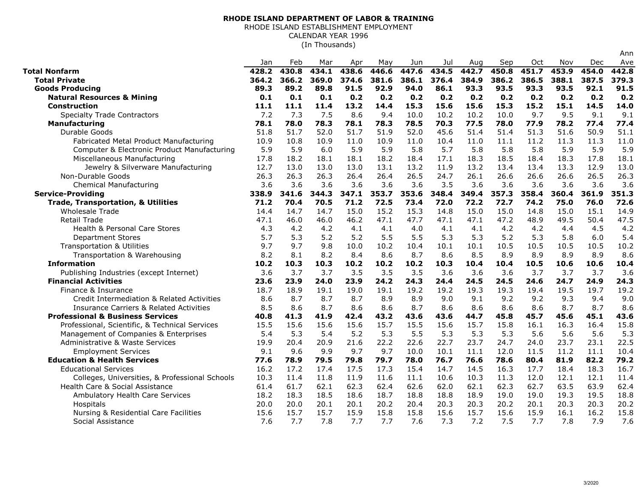## **RHODE ISLAND DEPARTMENT OF LABOR & TRAINING**

RHODE ISLAND ESTABLISHMENT EMPLOYMENT

CALENDAR YEAR 1996

(In Thousands)

|                                                    | Jan   | Feb   | Mar   | Apr   | May   | Jun   | Jul   | Aug   | Sep   | Oct   | Nov   | Dec   | Ave   |
|----------------------------------------------------|-------|-------|-------|-------|-------|-------|-------|-------|-------|-------|-------|-------|-------|
| Total Nonfarm                                      | 428.2 | 430.8 | 434.1 | 438.6 | 446.6 | 447.6 | 434.5 | 442.7 | 450.8 | 451.7 | 453.9 | 454.0 | 442.8 |
| <b>Total Private</b>                               | 364.2 | 366.2 | 369.0 | 374.6 | 381.6 | 386.1 | 376.4 | 384.9 | 386.2 | 386.5 | 388.1 | 387.5 | 379.3 |
| <b>Goods Producing</b>                             | 89.3  | 89.2  | 89.8  | 91.5  | 92.9  | 94.0  | 86.1  | 93.3  | 93.5  | 93.3  | 93.5  | 92.1  | 91.5  |
| <b>Natural Resources &amp; Mining</b>              | 0.1   | 0.1   | 0.1   | 0.2   | 0.2   | 0.2   | 0.2   | 0.2   | 0.2   | 0.2   | 0.2   | 0.2   | 0.2   |
| <b>Construction</b>                                | 11.1  | 11.1  | 11.4  | 13.2  | 14.4  | 15.3  | 15.6  | 15.6  | 15.3  | 15.2  | 15.1  | 14.5  | 14.0  |
| <b>Specialty Trade Contractors</b>                 | 7.2   | 7.3   | 7.5   | 8.6   | 9.4   | 10.0  | 10.2  | 10.2  | 10.0  | 9.7   | 9.5   | 9.1   | 9.1   |
| <b>Manufacturing</b>                               | 78.1  | 78.0  | 78.3  | 78.1  | 78.3  | 78.5  | 70.3  | 77.5  | 78.0  | 77.9  | 78.2  | 77.4  | 77.4  |
| Durable Goods                                      | 51.8  | 51.7  | 52.0  | 51.7  | 51.9  | 52.0  | 45.6  | 51.4  | 51.4  | 51.3  | 51.6  | 50.9  | 51.1  |
| Fabricated Metal Product Manufacturing             | 10.9  | 10.8  | 10.9  | 11.0  | 10.9  | 11.0  | 10.4  | 11.0  | 11.1  | 11.2  | 11.3  | 11.3  | 11.0  |
| Computer & Electronic Product Manufacturing        | 5.9   | 5.9   | 6.0   | 5.9   | 5.9   | 5.8   | 5.7   | 5.8   | 5.8   | 5.8   | 5.9   | 5.9   | 5.9   |
| Miscellaneous Manufacturing                        | 17.8  | 18.2  | 18.1  | 18.1  | 18.2  | 18.4  | 17.1  | 18.3  | 18.5  | 18.4  | 18.3  | 17.8  | 18.1  |
| Jewelry & Silverware Manufacturing                 | 12.7  | 13.0  | 13.0  | 13.0  | 13.1  | 13.2  | 11.9  | 13.2  | 13.4  | 13.4  | 13.3  | 12.9  | 13.0  |
| Non-Durable Goods                                  | 26.3  | 26.3  | 26.3  | 26.4  | 26.4  | 26.5  | 24.7  | 26.1  | 26.6  | 26.6  | 26.6  | 26.5  | 26.3  |
| <b>Chemical Manufacturing</b>                      | 3.6   | 3.6   | 3.6   | 3.6   | 3.6   | 3.6   | 3.5   | 3.6   | 3.6   | 3.6   | 3.6   | 3.6   | 3.6   |
| <b>Service-Providing</b>                           | 338.9 | 341.6 | 344.3 | 347.1 | 353.7 | 353.6 | 348.4 | 349.4 | 357.3 | 358.4 | 360.4 | 361.9 | 351.3 |
| <b>Trade, Transportation, &amp; Utilities</b>      | 71.2  | 70.4  | 70.5  | 71.2  | 72.5  | 73.4  | 72.0  | 72.2  | 72.7  | 74.2  | 75.0  | 76.0  | 72.6  |
| <b>Wholesale Trade</b>                             | 14.4  | 14.7  | 14.7  | 15.0  | 15.2  | 15.3  | 14.8  | 15.0  | 15.0  | 14.8  | 15.0  | 15.1  | 14.9  |
| Retail Trade                                       | 47.1  | 46.0  | 46.0  | 46.2  | 47.1  | 47.7  | 47.1  | 47.1  | 47.2  | 48.9  | 49.5  | 50.4  | 47.5  |
| <b>Health &amp; Personal Care Stores</b>           | 4.3   | 4.2   | 4.2   | 4.1   | 4.1   | 4.0   | 4.1   | 4.1   | 4.2   | 4.2   | 4.4   | 4.5   | 4.2   |
| <b>Department Stores</b>                           | 5.7   | 5.3   | 5.2   | 5.2   | 5.5   | 5.5   | 5.3   | 5.3   | 5.2   | 5.3   | 5.8   | 6.0   | 5.4   |
| Transportation & Utilities                         | 9.7   | 9.7   | 9.8   | 10.0  | 10.2  | 10.4  | 10.1  | 10.1  | 10.5  | 10.5  | 10.5  | 10.5  | 10.2  |
| Transportation & Warehousing                       | 8.2   | 8.1   | 8.2   | 8.4   | 8.6   | 8.7   | 8.6   | 8.5   | 8.9   | 8.9   | 8.9   | 8.9   | 8.6   |
| <b>Information</b>                                 | 10.2  | 10.3  | 10.3  | 10.2  | 10.2  | 10.2  | 10.3  | 10.4  | 10.4  | 10.5  | 10.6  | 10.6  | 10.4  |
| Publishing Industries (except Internet)            | 3.6   | 3.7   | 3.7   | 3.5   | 3.5   | 3.5   | 3.6   | 3.6   | 3.6   | 3.7   | 3.7   | 3.7   | 3.6   |
| <b>Financial Activities</b>                        | 23.6  | 23.9  | 24.0  | 23.9  | 24.2  | 24.3  | 24.4  | 24.5  | 24.5  | 24.6  | 24.7  | 24.9  | 24.3  |
| Finance & Insurance                                | 18.7  | 18.9  | 19.1  | 19.0  | 19.1  | 19.2  | 19.2  | 19.3  | 19.3  | 19.4  | 19.5  | 19.7  | 19.2  |
| Credit Intermediation & Related Activities         | 8.6   | 8.7   | 8.7   | 8.7   | 8.9   | 8.9   | 9.0   | 9.1   | 9.2   | 9.2   | 9.3   | 9.4   | 9.0   |
| <b>Insurance Carriers &amp; Related Activities</b> | 8.5   | 8.6   | 8.7   | 8.6   | 8.6   | 8.7   | 8.6   | 8.6   | 8.6   | 8.6   | 8.7   | 8.7   | 8.6   |
| <b>Professional &amp; Business Services</b>        | 40.8  | 41.3  | 41.9  | 42.4  | 43.2  | 43.6  | 43.6  | 44.7  | 45.8  | 45.7  | 45.6  | 45.1  | 43.6  |
| Professional, Scientific, & Technical Services     | 15.5  | 15.6  | 15.6  | 15.6  | 15.7  | 15.5  | 15.6  | 15.7  | 15.8  | 16.1  | 16.3  | 16.4  | 15.8  |
| Management of Companies & Enterprises              | 5.4   | 5.3   | 5.4   | 5.2   | 5.3   | 5.5   | 5.3   | 5.3   | 5.3   | 5.6   | 5.6   | 5.6   | 5.3   |
| Administrative & Waste Services                    | 19.9  | 20.4  | 20.9  | 21.6  | 22.2  | 22.6  | 22.7  | 23.7  | 24.7  | 24.0  | 23.7  | 23.1  | 22.5  |
| <b>Employment Services</b>                         | 9.1   | 9.6   | 9.9   | 9.7   | 9.7   | 10.0  | 10.1  | 11.1  | 12.0  | 11.5  | 11.2  | 11.1  | 10.4  |
| <b>Education &amp; Health Services</b>             | 77.6  | 78.9  | 79.5  | 79.8  | 79.7  | 78.0  | 76.7  | 76.6  | 78.6  | 80.4  | 81.9  | 82.2  | 79.2  |
| <b>Educational Services</b>                        | 16.2  | 17.2  | 17.4  | 17.5  | 17.3  | 15.4  | 14.7  | 14.5  | 16.3  | 17.7  | 18.4  | 18.3  | 16.7  |
| Colleges, Universities, & Professional Schools     | 10.3  | 11.4  | 11.8  | 11.9  | 11.6  | 11.1  | 10.6  | 10.3  | 11.3  | 12.0  | 12.1  | 12.1  | 11.4  |
| Health Care & Social Assistance                    | 61.4  | 61.7  | 62.1  | 62.3  | 62.4  | 62.6  | 62.0  | 62.1  | 62.3  | 62.7  | 63.5  | 63.9  | 62.4  |
| Ambulatory Health Care Services                    | 18.2  | 18.3  | 18.5  | 18.6  | 18.7  | 18.8  | 18.8  | 18.9  | 19.0  | 19.0  | 19.3  | 19.5  | 18.8  |
| Hospitals                                          | 20.0  | 20.0  | 20.1  | 20.1  | 20.2  | 20.4  | 20.3  | 20.3  | 20.2  | 20.1  | 20.3  | 20.3  | 20.2  |
| Nursing & Residential Care Facilities              | 15.6  | 15.7  | 15.7  | 15.9  | 15.8  | 15.8  | 15.6  | 15.7  | 15.6  | 15.9  | 16.1  | 16.2  | 15.8  |
| Social Assistance                                  | 7.6   | 7.7   | 7.8   | 7.7   | 7.7   | 7.6   | 7.3   | 7.2   | 7.5   | 7.7   | 7.8   | 7.9   | 7.6   |

Ann